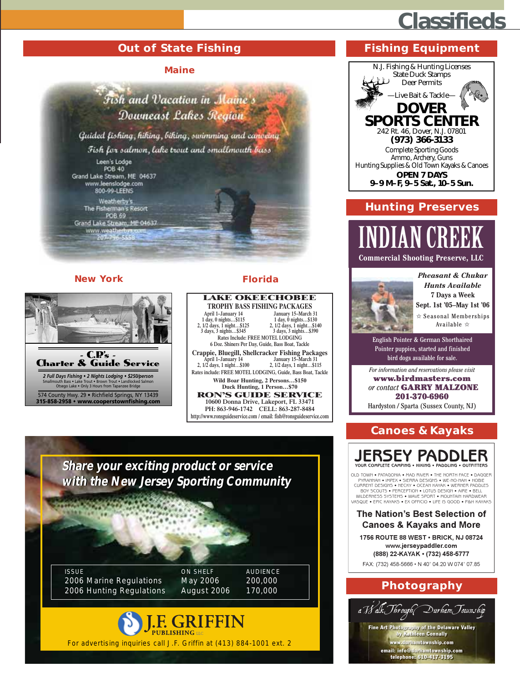### **Classifieds**

#### **Out of State Fishing**

#### **Maine**



Weatherby's<br>The Fisherman's Resort<br>POB 69 Grand Lake Stream, ME 04637

207-796-545

#### **New York**



**Florida** 



Share your exciting product or service with the New Jersey Sporting Community  $\frac{1}{2}$ **ISSUE ON SHELF AUDIENCE** 2006 Marine Regulations May 2006 200,000 170,000 2006 Hunting Regulations August 2006 **J.F. GRIFFIN** For advertising inquiries call J.F. Griffin at (413) 884-1001 ext. 2

#### **Fishing Equipment**



#### **Hunting Preserves**

### **Commercial Shooting Preserve, LLC**

**Pheasant & Chukar** 



**Hunts Available** 7 Days a Week Sept. 1st '05-May 1st '06  $\hat{\mathbf{x}}$  Seasonal Memberships Available ☆

English Pointer & German Shorthaired Pointer puppies, started and finished bird dogs available for sale.

For information and reservations please visit

www.birdmasters.com or contact GARRY MALZONE 201-370-6960

Hardyston / Sparta (Sussex County, NJ)

#### **Canoes & Kayaks**



OLD TOWN . PATAGONIA . MAD RIVER . THE NORTH FACE . DAGGER PYRANNAH . IMPEX . SIERRA DESIGNS . WE-NO-NAH . HOBIE CURRENT DESIGNS . NECKY . OCEAN KAVAK . WERNER PADDLES BOY SCOUTS . PERCEFTION . LOTUS DESIGNED TO A UNIT . THE . THE SELL BOY SCOUTS . PO THE LITTLE THE SELL UNDER VASOUE • EPIC KAYAKS • EX OFFICIO • UEE IS GOOD • PAH KAYAKS

#### **The Nation's Best Selection of Canoes & Kayaks and More**

1756 ROUTE 88 WEST · BRICK, NJ 08724 www.jerseypaddler.com (888) 22-KAYAK · (732) 458-5777

FAX: (732) 458-5666 · N 40° 04.20 W 074° 07.85

#### Photography

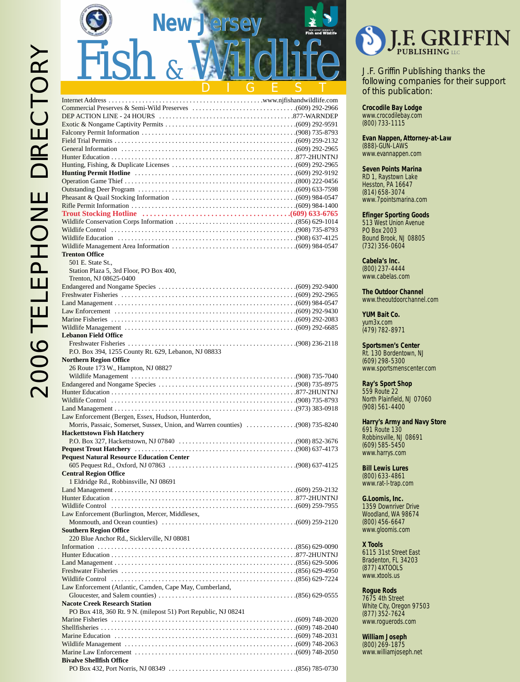| <b>New Jersey</b>                                                   |  |
|---------------------------------------------------------------------|--|
| Fish<br>$\mathcal{R}_{I}$                                           |  |
|                                                                     |  |
|                                                                     |  |
|                                                                     |  |
|                                                                     |  |
|                                                                     |  |
|                                                                     |  |
|                                                                     |  |
|                                                                     |  |
|                                                                     |  |
|                                                                     |  |
|                                                                     |  |
|                                                                     |  |
|                                                                     |  |
|                                                                     |  |
|                                                                     |  |
|                                                                     |  |
|                                                                     |  |
| <b>Trenton Office</b>                                               |  |
| 501 E. State St.,<br>Station Plaza 5, 3rd Floor, PO Box 400,        |  |
| Trenton, NJ 08625-0400                                              |  |
|                                                                     |  |
|                                                                     |  |
|                                                                     |  |
|                                                                     |  |
|                                                                     |  |
| <b>Lebanon Field Office</b>                                         |  |
|                                                                     |  |
| P.O. Box 394, 1255 County Rt. 629, Lebanon, NJ 08833                |  |
| <b>Northern Region Office</b><br>26 Route 173 W., Hampton, NJ 08827 |  |
|                                                                     |  |
|                                                                     |  |
|                                                                     |  |
|                                                                     |  |
| Law Enforcement (Bergen, Essex, Hudson, Hunterdon,                  |  |
|                                                                     |  |
| <b>Hackettstown Fish Hatchery</b>                                   |  |
|                                                                     |  |
| <b>Pequest Natural Resource Education Center</b>                    |  |
|                                                                     |  |
| <b>Central Region Office</b>                                        |  |
| 1 Eldridge Rd., Robbinsville, NJ 08691                              |  |
|                                                                     |  |
|                                                                     |  |
| Law Enforcement (Burlington, Mercer, Middlesex,                     |  |
|                                                                     |  |
| <b>Southern Region Office</b>                                       |  |
| 220 Blue Anchor Rd., Sicklerville, NJ 08081                         |  |
|                                                                     |  |
|                                                                     |  |
|                                                                     |  |
|                                                                     |  |
| Law Enforcement (Atlantic, Camden, Cape May, Cumberland,            |  |
| <b>Nacote Creek Research Station</b>                                |  |
| PO Box 418, 360 Rt. 9 N. (milepost 51) Port Republic, NJ 08241      |  |
|                                                                     |  |
|                                                                     |  |
|                                                                     |  |

Wildlife Management . . . . . . . . . . . . . . . . . . . . . . . . . . . . . . . . . . . . . . . . . . . . . . . . . . .(609) 748-2063 Marine Law Enforcement . . . . . . . . . . . . . . . . . . . . . . . . . . . . . . . . . . . . . . . . . . . . . . . .(609) 748-2050

PO Box 432, Port Norris, NJ 08349 . . . . . . . . . . . . . . . . . . . . . . . . . . . . . . . . . . . . . .(856) 785-0730

**Bivalve Shellfish Office**



J.F. Griffin Publishing thanks the following companies for their support of this publication:

**Crocodile Bay Lodge** www.crocodilebay.com (800) 733-1115

**Evan Nappen, Attorney-at-Law**

(888)-GUN-LAWS www.evannappen.com

#### **Seven Points Marina**

RD 1, Raystown Lake Hesston, PA 16647 (814) 658-3074 www.7pointsmarina.com

#### **Efinger Sporting Goods**

513 West Union Avenue PO Box 2003 Bound Brook, NJ 08805 (732) 356-0604

**Cabela's Inc.** (800) 237-4444 www.cabelas.com

**The Outdoor Channel** www.theoutdoorchannel.com

**YUM Bait Co.** yum3x.com (479) 782-8971

**Sportsmen's Center** Rt. 130 Bordentown, NJ (609) 298-5300 www.sportsmenscenter.com

**Ray's Sport Shop** 559 Route 22 North Plainfield, NJ 07060 (908) 561-4400

**Harry's Army and Navy Store** 691 Route 130 Robbinsville, NJ 08691 (609) 585-5450 www.harrys.com

**Bill Lewis Lures** (800) 633-4861 www.rat-l-trap.com

**G.Loomis, Inc.** 1359 Downriver Drive Woodland, WA 98674 (800) 456-6647 www.gloomis.com

#### **X Tools**

6115 31st Street East Bradenton, FL 34203 (877) 4XTOOLS www.xtools.us

#### **Rogue Rods**

7675 4th Street White City, Oregon 97503 (877) 352-7624 www.roguerods.com

**William Joseph**

(800) 269-1875 www.williamjoseph.net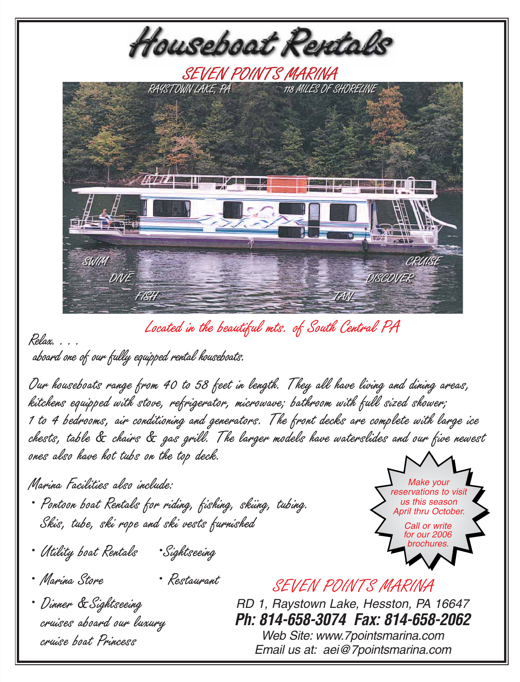Located in the beautiful mts. of South Central PA

Relax. . . .

aboard one of our fully equipped rental houseboats.

Our houseboats range from 40 to 58 feet in length. They all have living and dining areas, kitchens equipped with stove, refrigerator, microwave; bathroom with full sized shower; 1 to 4 bedrooms, air conditioning and generators. The front decks are complete with large ice chests, table & chairs & gas grill. The larger models have waterslides and our five newest ones also have hot tubs on the top deck.

Marina Facilities also include:

- Pontoon boat Rentals for riding, fishing, skiing, tubing. Skis, tube, ski rope and ski vests furnished
- Utility boat Rentals •Sightseeing
- Marina Store Restaurant
- Dinner &Sightseeing cruises aboard our luxury cruise boat Princess

RD 1, Raystown Lake, Hesston, PA 16647 **Ph: 814-658-3074 Fax: 814-658-2062** Web Site: www.7pointsmarina.com Email us at: aei@7pointsmarina.com

SEVEN POINTS MARINA





Houseboat Rentals